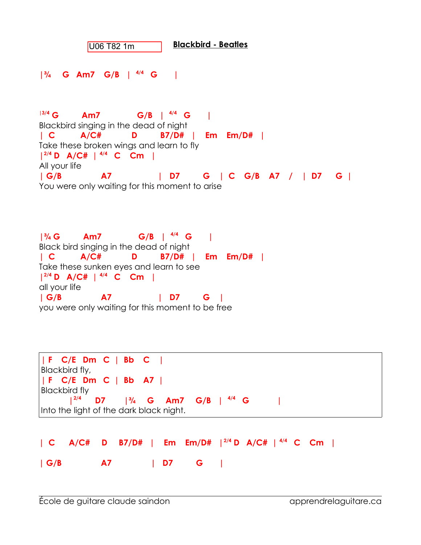**Blackbird - Beatles** U06 T82 1m

**|¾ G Am7 G/B | 4/4 G |**

**|3/4 G Am7 G/B | 4/4 G |**  Blackbird singing in the dead of night **| C A/C# D B7/D# | Em Em/D# |** Take these broken wings and learn to fly **| 2/4 D A/C# | 4/4 C Cm |** All your life **| G/B A7 | D7 G | C G/B A7 / | D7 G |** You were only waiting for this moment to arise

**|¾ G Am7 G/B | 4/4 G |**  Black bird singing in the dead of night **| C A/C# D B7/D# | Em Em/D# |** Take these sunken eyes and learn to see **| 2/4 D A/C# | 4/4 C Cm |** all your life **| G/B A7 | D7 G |** you were only waiting for this moment to be free

```
| F C/E Dm C | Bb C |
Blackbird fly, 
| F C/E Dm C | Bb A7 |
Blackbird fly
      |2/4 D7 |¾ G Am7 G/B | 4/4 G |
Into the light of the dark black night.
```

|  |  |  |                     | $  C A/C# D B7/D#   Em Em/D#  ^{2/4} D A/C#  ^{4/4} C C$ |  |  |
|--|--|--|---------------------|----------------------------------------------------------|--|--|
|  |  |  | $ G/B$ $ D7 $ $ G $ |                                                          |  |  |